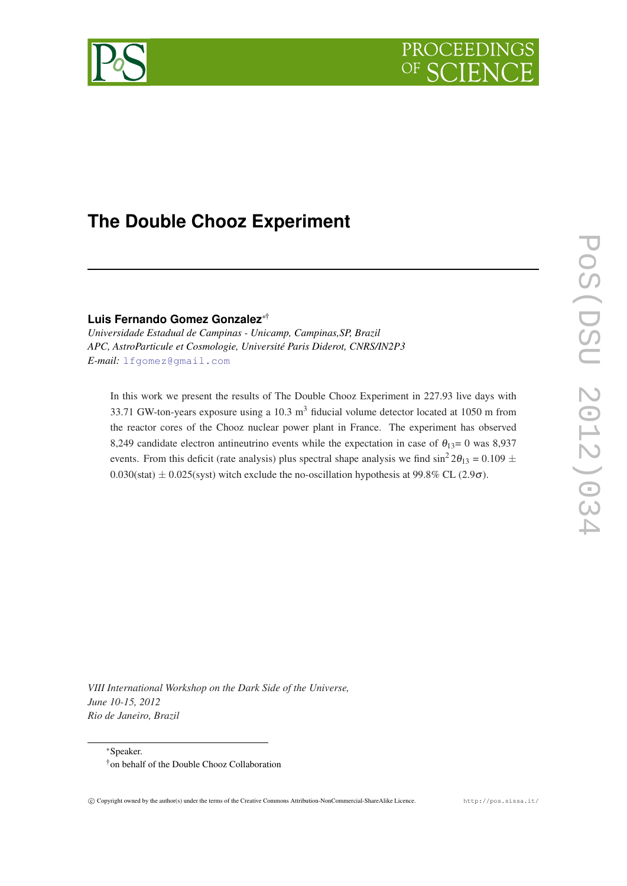



# **The Double Chooz Experiment**

**Luis Fernando Gomez Gonzalez**∗†

*Universidade Estadual de Campinas - Unicamp, Campinas,SP, Brazil APC, AstroParticule et Cosmologie, Université Paris Diderot, CNRS/IN2P3 E-mail:* [lfgomez@gmail.com](mailto:lfgomez@gmail.com)

In this work we present the results of The Double Chooz Experiment in 227.93 live days with 33.71 GW-ton-years exposure using a  $10.3 \text{ m}^3$  fiducial volume detector located at  $1050 \text{ m}$  from the reactor cores of the Chooz nuclear power plant in France. The experiment has observed 8,249 candidate electron antineutrino events while the expectation in case of  $\theta_{13}=0$  was 8,937 events. From this deficit (rate analysis) plus spectral shape analysis we find  $\sin^2 2\theta_{13} = 0.109 \pm 1.000$  $0.030(stat) \pm 0.025(syst)$  witch exclude the no-oscillation hypothesis at 99.8% CL (2.9 $\sigma$ ).

*VIII International Workshop on the Dark Side of the Universe, June 10-15, 2012 Rio de Janeiro, Brazil*

<sup>∗</sup>Speaker.

<sup>†</sup>on behalf of the Double Chooz Collaboration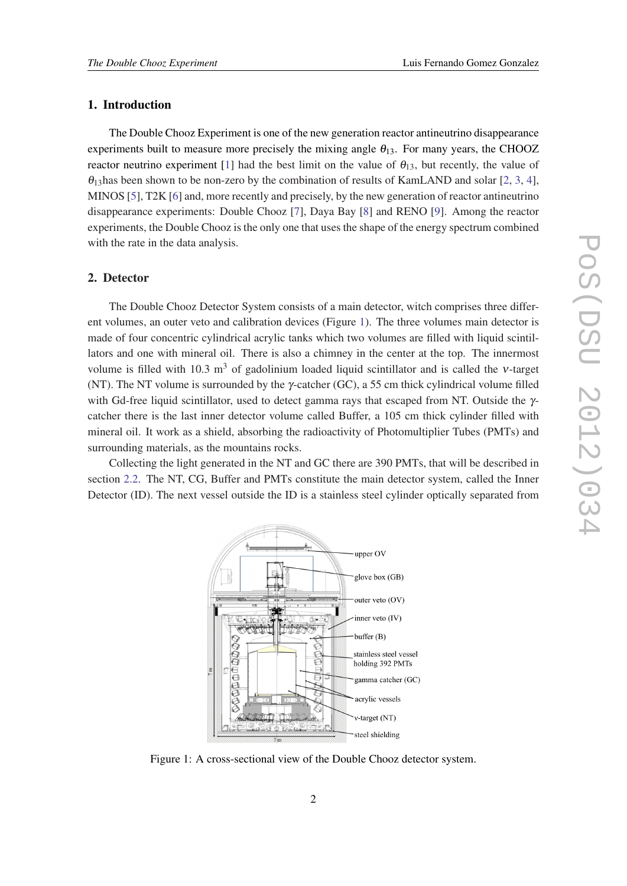# 1. Introduction

The Double Chooz Experiment is one of the new generation reactor antineutrino disappearance experiments built to measure more precisely the mixing angle  $\theta_{13}$ . For many years, the CHOOZ reactor neutrino experiment [[1\]](#page-7-0) had the best limit on the value of  $\theta_{13}$ , but recently, the value of  $\theta_1$ 3has been shown to be non-zero by the combination of results of KamLAND and solar [\[2,](#page-7-0) [3,](#page-7-0) [4\]](#page-7-0), MINOS [\[5\]](#page-7-0), T2K [[6](#page-7-0)] and, more recently and precisely, by the new generation of reactor antineutrino disappearance experiments: Double Chooz [\[7\]](#page-7-0), Daya Bay [\[8](#page-7-0)] and RENO [[9](#page-7-0)]. Among the reactor experiments, the Double Chooz is the only one that uses the shape of the energy spectrum combined with the rate in the data analysis.

#### 2. Detector

The Double Chooz Detector System consists of a main detector, witch comprises three different volumes, an outer veto and calibration devices (Figure 1). The three volumes main detector is made of four concentric cylindrical acrylic tanks which two volumes are filled with liquid scintillators and one with mineral oil. There is also a chimney in the center at the top. The innermost volume is filled with 10.3 m<sup>3</sup> of gadolinium loaded liquid scintillator and is called the v-target (NT). The NT volume is surrounded by the γ-catcher (GC), a 55 cm thick cylindrical volume filled with Gd-free liquid scintillator, used to detect gamma rays that escaped from NT. Outside the γcatcher there is the last inner detector volume called Buffer, a 105 cm thick cylinder filled with mineral oil. It work as a shield, absorbing the radioactivity of Photomultiplier Tubes (PMTs) and surrounding materials, as the mountains rocks.

Collecting the light generated in the NT and GC there are 390 PMTs, that will be described in section [2.2](#page-2-0). The NT, CG, Buffer and PMTs constitute the main detector system, called the Inner Detector (ID). The next vessel outside the ID is a stainless steel cylinder optically separated from



Figure 1: A cross-sectional view of the Double Chooz detector system.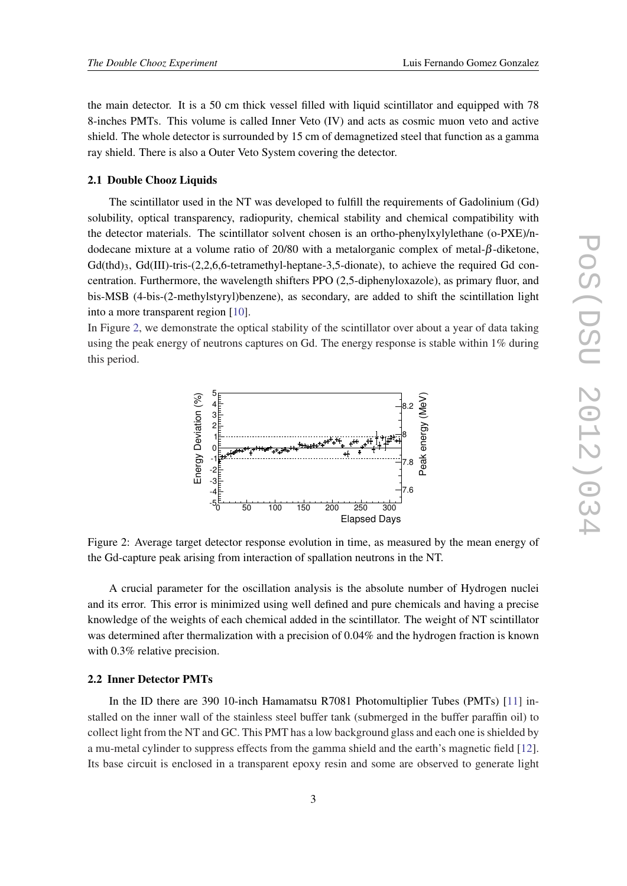<span id="page-2-0"></span>the main detector. It is a 50 cm thick vessel filled with liquid scintillator and equipped with 78 8-inches PMTs. This volume is called Inner Veto (IV) and acts as cosmic muon veto and active shield. The whole detector is surrounded by 15 cm of demagnetized steel that function as a gamma ray shield. There is also a Outer Veto System covering the detector.

#### 2.1 Double Chooz Liquids

The scintillator used in the NT was developed to fulfill the requirements of Gadolinium (Gd) solubility, optical transparency, radiopurity, chemical stability and chemical compatibility with the detector materials. The scintillator solvent chosen is an ortho-phenylxylylethane (o-PXE)/ndodecane mixture at a volume ratio of 20/80 with a metalorganic complex of metal-β-diketone,  $Gd(thd)$ <sub>3</sub>,  $Gd(III)$ -tris-(2,2,6,6-tetramethyl-heptane-3,5-dionate), to achieve the required Gd concentration. Furthermore, the wavelength shifters PPO (2,5-diphenyloxazole), as primary fluor, and bis-MSB (4-bis-(2-methylstyryl)benzene), as secondary, are added to shift the scintillation light into a more transparent region [\[10\]](#page-7-0).

In Figure 2, we demonstrate the optical stability of the scintillator over about a year of data taking using the peak energy of neutrons captures on Gd. The energy response is stable within 1% during this period.



Figure 2: Average target detector response evolution in time, as measured by the mean energy of the Gd-capture peak arising from interaction of spallation neutrons in the NT.

A crucial parameter for the oscillation analysis is the absolute number of Hydrogen nuclei and its error. This error is minimized using well defined and pure chemicals and having a precise knowledge of the weights of each chemical added in the scintillator. The weight of NT scintillator was determined after thermalization with a precision of 0.04% and the hydrogen fraction is known with 0.3% relative precision.

#### 2.2 Inner Detector PMTs

In the ID there are 390 10-inch Hamamatsu R7081 Photomultiplier Tubes (PMTs) [\[11](#page-7-0)] installed on the inner wall of the stainless steel buffer tank (submerged in the buffer paraffin oil) to collect light from the NT and GC. This PMT has a low background glass and each one is shielded by a mu-metal cylinder to suppress effects from the gamma shield and the earth's magnetic field [[12\]](#page-7-0). Its base circuit is enclosed in a transparent epoxy resin and some are observed to generate light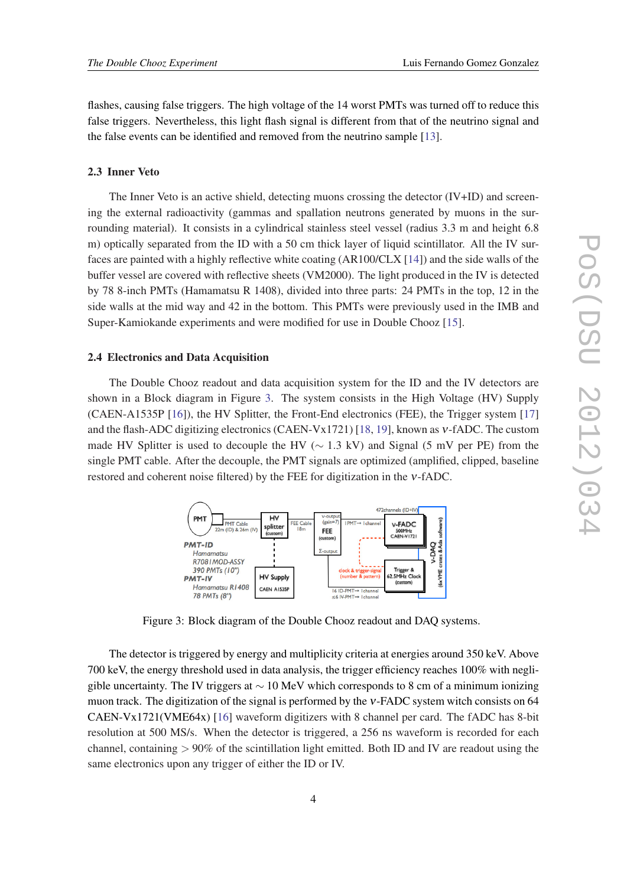flashes, causing false triggers. The high voltage of the 14 worst PMTs was turned off to reduce this false triggers. Nevertheless, this light flash signal is different from that of the neutrino signal and the false events can be identified and removed from the neutrino sample [\[13\]](#page-7-0).

## 2.3 Inner Veto

The Inner Veto is an active shield, detecting muons crossing the detector (IV+ID) and screening the external radioactivity (gammas and spallation neutrons generated by muons in the surrounding material). It consists in a cylindrical stainless steel vessel (radius 3.3 m and height 6.8 m) optically separated from the ID with a 50 cm thick layer of liquid scintillator. All the IV surfaces are painted with a highly reflective white coating (AR100/CLX [\[14](#page-7-0)]) and the side walls of the buffer vessel are covered with reflective sheets (VM2000). The light produced in the IV is detected by 78 8-inch PMTs (Hamamatsu R 1408), divided into three parts: 24 PMTs in the top, 12 in the side walls at the mid way and 42 in the bottom. This PMTs were previously used in the IMB and Super-Kamiokande experiments and were modified for use in Double Chooz [\[15](#page-7-0)].

#### 2.4 Electronics and Data Acquisition

The Double Chooz readout and data acquisition system for the ID and the IV detectors are shown in a Block diagram in Figure 3. The system consists in the High Voltage (HV) Supply (CAEN-A1535P [[16\]](#page-7-0)), the HV Splitter, the Front-End electronics (FEE), the Trigger system [\[17](#page-7-0)] and the flash-ADC digitizing electronics (CAEN-Vx1721) [\[18](#page-7-0), [19\]](#page-7-0), known as ν-fADC. The custom made HV Splitter is used to decouple the HV ( $\sim$  1.3 kV) and Signal (5 mV per PE) from the single PMT cable. After the decouple, the PMT signals are optimized (amplified, clipped, baseline restored and coherent noise filtered) by the FEE for digitization in the ν-fADC.



Figure 3: Block diagram of the Double Chooz readout and DAQ systems.

The detector is triggered by energy and multiplicity criteria at energies around 350 keV. Above 700 keV, the energy threshold used in data analysis, the trigger efficiency reaches 100% with negligible uncertainty. The IV triggers at  $\sim$  10 MeV which corresponds to 8 cm of a minimum ionizing muon track. The digitization of the signal is performed by the ν-FADC system witch consists on 64 CAEN-Vx1721(VME64x) [\[16](#page-7-0)] waveform digitizers with 8 channel per card. The fADC has 8-bit resolution at 500 MS/s. When the detector is triggered, a 256 ns waveform is recorded for each channel, containing  $> 90\%$  of the scintillation light emitted. Both ID and IV are readout using the same electronics upon any trigger of either the ID or IV.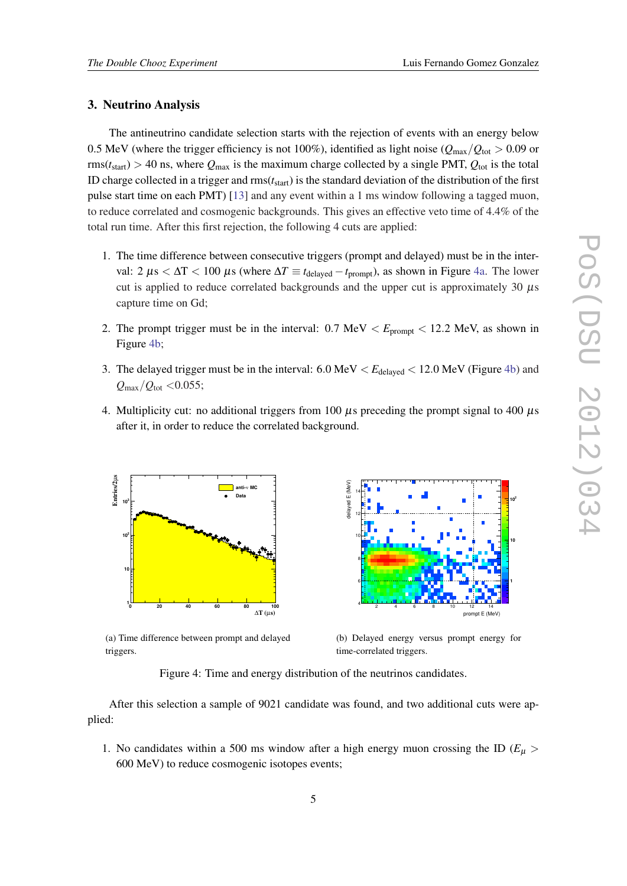### 3. Neutrino Analysis

The antineutrino candidate selection starts with the rejection of events with an energy below 0.5 MeV (where the trigger efficiency is not 100%), identified as light noise ( $Q_{\text{max}}/Q_{\text{tot}} > 0.09$  or  $rms(t<sub>start</sub>) > 40$  ns, where  $Q<sub>max</sub>$  is the maximum charge collected by a single PMT,  $Q<sub>tot</sub>$  is the total ID charge collected in a trigger and rms(*t*start) is the standard deviation of the distribution of the first pulse start time on each PMT) [\[13](#page-7-0)] and any event within a 1 ms window following a tagged muon, to reduce correlated and cosmogenic backgrounds. This gives an effective veto time of 4.4% of the total run time. After this first rejection, the following 4 cuts are applied:

- 1. The time difference between consecutive triggers (prompt and delayed) must be in the interval: 2  $\mu$ s <  $\Delta T$  < 100  $\mu$ s (where  $\Delta T \equiv t_{\text{delayed}} - t_{\text{prompt}}$ ), as shown in Figure 4a. The lower cut is applied to reduce correlated backgrounds and the upper cut is approximately 30  $\mu$ s capture time on Gd;
- 2. The prompt trigger must be in the interval:  $0.7 \text{ MeV} < E_{\text{prompt}} < 12.2 \text{ MeV}$ , as shown in Figure 4b;
- 3. The delayed trigger must be in the interval:  $6.0 \text{ MeV} < E_{\text{delayed}} < 12.0 \text{ MeV}$  (Figure 4b) and  $Q_{\text{max}}/Q_{\text{tot}} < 0.055$ ;
- 4. Multiplicity cut: no additional triggers from 100  $\mu$ s preceding the prompt signal to 400  $\mu$ s after it, in order to reduce the correlated background.



(a) Time difference between prompt and delayed triggers.



(b) Delayed energy versus prompt energy for time-correlated triggers.

Figure 4: Time and energy distribution of the neutrinos candidates.

After this selection a sample of 9021 candidate was found, and two additional cuts were applied:

1. No candidates within a 500 ms window after a high energy muon crossing the ID ( $E<sub>\mu</sub>$ ) 600 MeV) to reduce cosmogenic isotopes events;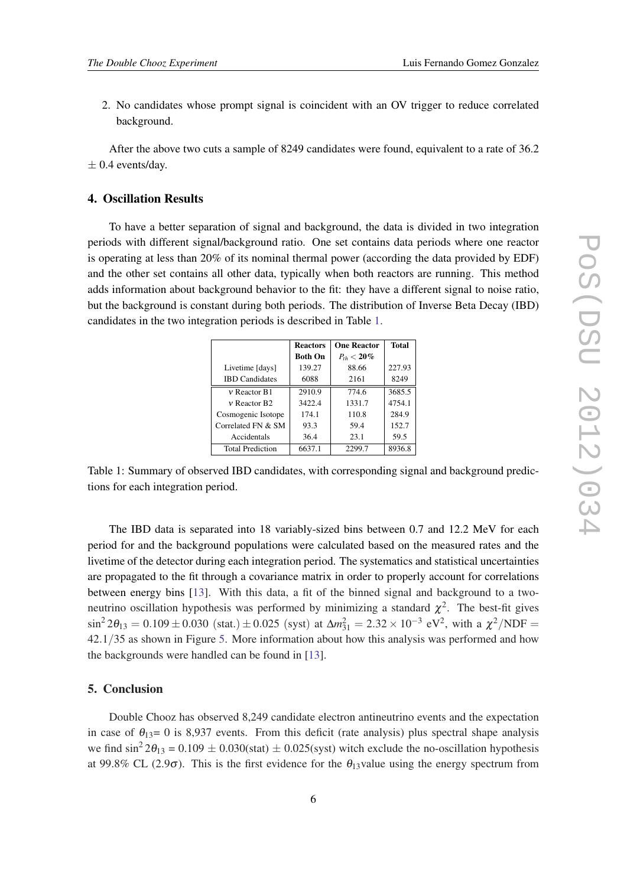2. No candidates whose prompt signal is coincident with an OV trigger to reduce correlated background.

After the above two cuts a sample of 8249 candidates were found, equivalent to a rate of 36.2  $\pm$  0.4 events/day.

#### 4. Oscillation Results

To have a better separation of signal and background, the data is divided in two integration periods with different signal/background ratio. One set contains data periods where one reactor is operating at less than 20% of its nominal thermal power (according the data provided by EDF) and the other set contains all other data, typically when both reactors are running. This method adds information about background behavior to the fit: they have a different signal to noise ratio, but the background is constant during both periods. The distribution of Inverse Beta Decay (IBD) candidates in the two integration periods is described in Table 1.

|                              | <b>Reactors</b> | <b>One Reactor</b> | <b>Total</b> |
|------------------------------|-----------------|--------------------|--------------|
|                              | <b>Both On</b>  | $P_{th} < 20\%$    |              |
| Livetime [days]              | 139.27          | 88.66              | 227.93       |
| <b>IBD</b> Candidates        | 6088            | 2161               | 8249         |
| $v$ Reactor B1               | 2910.9          | 774.6              | 3685.5       |
| $\nu$ Reactor B <sub>2</sub> | 3422.4          | 1331.7             | 4754.1       |
| Cosmogenic Isotope           | 174.1           | 110.8              | 284.9        |
| Correlated FN & SM           | 93.3            | 59.4               | 152.7        |
| Accidentals                  | 36.4            | 23.1               | 59.5         |
| <b>Total Prediction</b>      | 6637.1          | 2299.7             | 8936.8       |

Table 1: Summary of observed IBD candidates, with corresponding signal and background predictions for each integration period.

The IBD data is separated into 18 variably-sized bins between 0.7 and 12.2 MeV for each period for and the background populations were calculated based on the measured rates and the livetime of the detector during each integration period. The systematics and statistical uncertainties are propagated to the fit through a covariance matrix in order to properly account for correlations between energy bins [\[13](#page-7-0)]. With this data, a fit of the binned signal and background to a twoneutrino oscillation hypothesis was performed by minimizing a standard  $\chi^2$ . The best-fit gives  $\sin^2 2\theta_{13} = 0.109 \pm 0.030$  (stat.)  $\pm 0.025$  (syst) at  $\Delta m_{31}^2 = 2.32 \times 10^{-3}$  eV<sup>2</sup>, with a  $\chi^2/\text{NDF} =$ 42.1/35 as shown in Figure [5](#page-6-0). More information about how this analysis was performed and how the backgrounds were handled can be found in [[13\]](#page-7-0).

# 5. Conclusion

Double Chooz has observed 8,249 candidate electron antineutrino events and the expectation in case of  $\theta_{13}=0$  is 8,937 events. From this deficit (rate analysis) plus spectral shape analysis we find  $\sin^2 2\theta_{13} = 0.109 \pm 0.030$ (stat)  $\pm 0.025$ (syst) witch exclude the no-oscillation hypothesis at 99.8% CL (2.9 $\sigma$ ). This is the first evidence for the  $\theta_{13}$ value using the energy spectrum from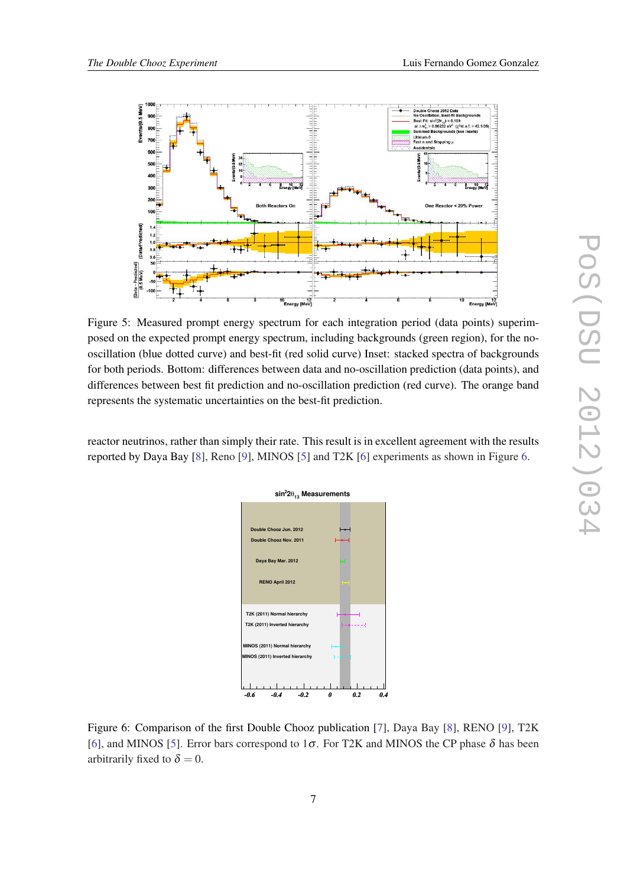<span id="page-6-0"></span>

Figure 5: Measured prompt energy spectrum for each integration period (data points) superimposed on the expected prompt energy spectrum, including backgrounds (green region), for the nooscillation (blue dotted curve) and best-fit (red solid curve) Inset: stacked spectra of backgrounds for both periods. Bottom: differences between data and no-oscillation prediction (data points), and differences between best fit prediction and no-oscillation prediction (red curve). The orange band represents the systematic uncertainties on the best-fit prediction.

reactor neutrinos, rather than simply their rate. This result is in excellent agreement with the results reported by Daya Bay [[8](#page-7-0)], Reno [[9](#page-7-0)], MINOS [[5](#page-7-0)] and T2K [\[6\]](#page-7-0) experiments as shown in Figure 6.



Figure 6: Comparison of the first Double Chooz publication [\[7\]](#page-7-0), Daya Bay [\[8\]](#page-7-0), RENO [[9](#page-7-0)], T2K [[6](#page-7-0)], and MINOS [[5](#page-7-0)]. Error bars correspond to  $1\sigma$ . For T2K and MINOS the CP phase  $\delta$  has been arbitrarily fixed to  $\delta = 0$ .